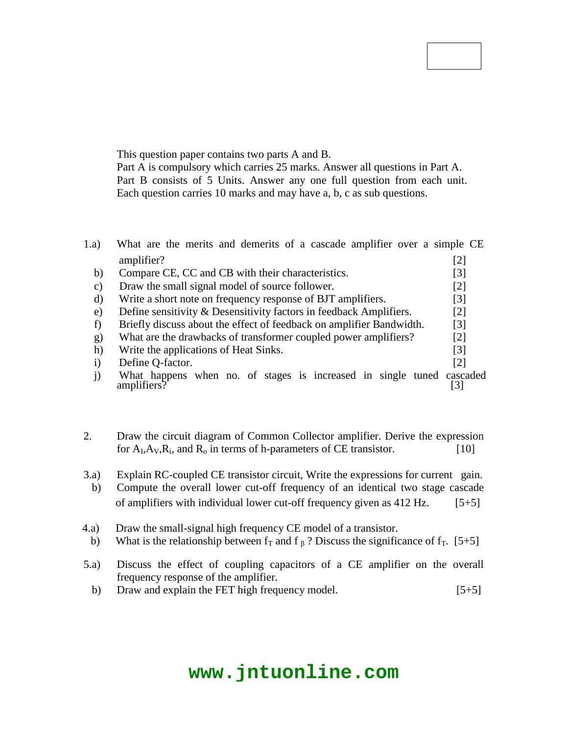Part A is compulsory which carries 25 marks. Answer all questions in Part A. Part B consists of 5 Units. Answer any one full question from each unit. Each question carries 10 marks and may have a, b, c as sub questions.

# **PART – A (25 Marks)**

- 1.a) What are the merits and demerits of a cascade amplifier over a simple CE amplifier? [2] b) Compare CE, CC and CB with their characteristics. [3]
	- c) Draw the small signal model of source follower. [2] d) Write a short note on frequency response of BJT amplifiers. [3]
	- e) Define sensitivity & Desensitivity factors in feedback Amplifiers. [2]
	- f) Briefly discuss about the effect of feedback on amplifier Bandwidth. [3]
	- g) What are the drawbacks of transformer coupled power amplifiers? [2]
	- h) Write the applications of Heat Sinks. [3]

**Note:** This question paper contains two parts A and B.

- i) Define Q-factor. [2]
- j) What happens when no. of stages is increased in single tuned cascaded amplifiers? [3] amplifiers?

# **PART – B (50 Marks)**

- 2. Draw the circuit diagram of Common Collector amplifier. Derive the expression for  $A_I, A_V, R_i$ , and  $R_o$  in terms of h-parameters of CE transistor. [10]
	- **OR**
- 3.a) Explain RC-coupled CE transistor circuit, Write the expressions for current gain.
- b) Compute the overall lower cut-off frequency of an identical two stage cascade of amplifiers with individual lower cut-off frequency given as  $412$  Hz. [5+5]
- 4.a) Draw the small-signal high frequency CE model of a transistor.
- b) What is the relationship between  $f<sub>T</sub>$  and f  $<sub>β</sub>$ ? Discuss the significance of  $f<sub>T</sub>$ . [5+5]</sub>

#### **OR**

- 5.a) Discuss the effect of coupling capacitors of a CE amplifier on the overall frequency response of the amplifier.
	- b) Draw and explain the FET high frequency model. [5+5]

# **www.jntuonline.com**

## **Code No: 114CV JAWAHARLAL NEHRU TECHNOLOGICAL UNIVERSITY HYDERABAD B.Tech II Year II Semester Examinations, October/November - 2016 ELECTRONIC CIRCUIT ANALYSIS (Common to ECE, EIE, ETM)**

## **Time: 3 Hours Max. Marks: 75**

**R13**